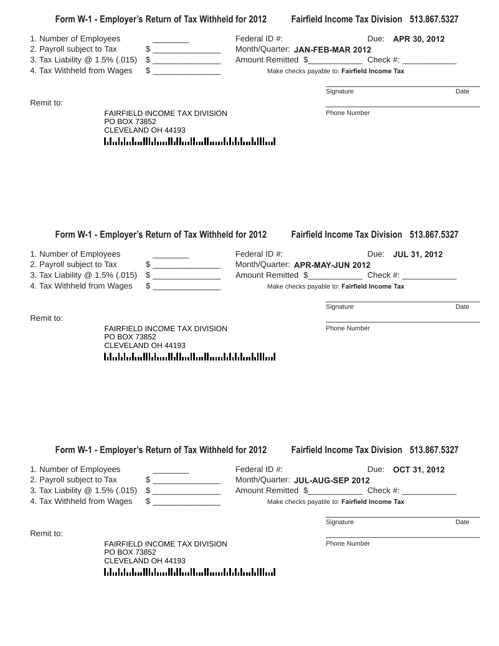|                                                                                                                     | Form W-1 - Employer's Return of Tax Withheld for 2012                                                                                                                                                                                                                                                                                                                                                                                                                                                               |                                                                                                                                   |  | Fairfield Income Tax Division 513.867.5327                                                 |                   |      |
|---------------------------------------------------------------------------------------------------------------------|---------------------------------------------------------------------------------------------------------------------------------------------------------------------------------------------------------------------------------------------------------------------------------------------------------------------------------------------------------------------------------------------------------------------------------------------------------------------------------------------------------------------|-----------------------------------------------------------------------------------------------------------------------------------|--|--------------------------------------------------------------------------------------------|-------------------|------|
| 1. Number of Employees<br>2. Payroll subject to Tax<br>3. Tax Liability @ 1.5% (.015)                               | $\frac{1}{2}$ $\frac{1}{2}$ $\frac{1}{2}$ $\frac{1}{2}$ $\frac{1}{2}$ $\frac{1}{2}$ $\frac{1}{2}$ $\frac{1}{2}$ $\frac{1}{2}$ $\frac{1}{2}$ $\frac{1}{2}$ $\frac{1}{2}$ $\frac{1}{2}$ $\frac{1}{2}$ $\frac{1}{2}$ $\frac{1}{2}$ $\frac{1}{2}$ $\frac{1}{2}$ $\frac{1}{2}$ $\frac{1}{2}$ $\frac{1}{2}$ $\frac{1}{2}$                                                                                                                                                                                                 | Federal ID #:<br>Month/Quarter: JAN-FEB-MAR 2012                                                                                  |  |                                                                                            | Due: APR 30, 2012 |      |
| 4. Tax Withheld from Wages                                                                                          | $\begin{array}{c} \texttt{\$} \\ \texttt{\$} \end{array} \qquad \qquad \begin{array}{c} \texttt{\$} \\ \texttt{\$} \end{array} \qquad \qquad \begin{array}{c} \texttt{\$} \\ \texttt{\$} \end{array} \qquad \qquad \begin{array}{c} \texttt{\$} \\ \texttt{\$} \end{array} \qquad \qquad \begin{array}{c} \texttt{\$} \\ \texttt{\$} \end{array} \qquad \qquad \begin{array}{c} \texttt{\$} \\ \texttt{\$} \end{array} \qquad \qquad \begin{array}{c} \texttt{\$} \\ \texttt{\$} \end{array} \qquad \qquad \begin{$ |                                                                                                                                   |  | Make checks payable to: Fairfield Income Tax                                               |                   |      |
|                                                                                                                     |                                                                                                                                                                                                                                                                                                                                                                                                                                                                                                                     |                                                                                                                                   |  | Signature                                                                                  |                   | Date |
| Remit to:<br>PO BOX 73852                                                                                           | FAIRFIELD INCOME TAX DIVISION<br>CLEVELAND OH 44193<br><u> Idaddaladibbaalldimiladimahhhhahilimi</u>                                                                                                                                                                                                                                                                                                                                                                                                                |                                                                                                                                   |  | Phone Number                                                                               |                   |      |
|                                                                                                                     | Form W-1 - Employer's Return of Tax Withheld for 2012                                                                                                                                                                                                                                                                                                                                                                                                                                                               | Federal ID #:                                                                                                                     |  | <b>Fairfield Income Tax Division 513.867.5327</b>                                          |                   |      |
| 1. Number of Employees<br>2. Payroll subject to Tax                                                                 | Month/Quarter: APR-MAY-JUN 2012                                                                                                                                                                                                                                                                                                                                                                                                                                                                                     |                                                                                                                                   |  | Due: <b>JUL 31, 2012</b>                                                                   |                   |      |
| 3. Tax Liability @ 1.5% (.015)                                                                                      | $\frac{1}{2}$                                                                                                                                                                                                                                                                                                                                                                                                                                                                                                       | Amount Remitted \$________________________ Check #: _____________________________<br>Make checks payable to: Fairfield Income Tax |  |                                                                                            |                   |      |
| 4. Tax Withheld from Wages                                                                                          | $\frac{1}{\sqrt{1-\frac{1}{2}}}\frac{1}{\sqrt{1-\frac{1}{2}}}\frac{1}{\sqrt{1-\frac{1}{2}}}\frac{1}{\sqrt{1-\frac{1}{2}}}\frac{1}{\sqrt{1-\frac{1}{2}}}\frac{1}{\sqrt{1-\frac{1}{2}}}\frac{1}{\sqrt{1-\frac{1}{2}}}\frac{1}{\sqrt{1-\frac{1}{2}}}\frac{1}{\sqrt{1-\frac{1}{2}}}\frac{1}{\sqrt{1-\frac{1}{2}}}\frac{1}{\sqrt{1-\frac{1}{2}}}\frac{1}{\sqrt{1-\frac{1}{2}}}\frac{1}{\sqrt{1-\frac{1}{2}}}\frac{1}{\sqrt{1-\frac{$                                                                                     |                                                                                                                                   |  |                                                                                            |                   |      |
|                                                                                                                     |                                                                                                                                                                                                                                                                                                                                                                                                                                                                                                                     |                                                                                                                                   |  | Signature                                                                                  |                   | Date |
| Remit to:<br>PO BOX 73852                                                                                           | FAIRFIELD INCOME TAX DIVISION<br>CLEVELAND OH 44193<br><u> Idaldaladildaallilladladiaaldildadillad</u>                                                                                                                                                                                                                                                                                                                                                                                                              |                                                                                                                                   |  | Phone Number                                                                               |                   |      |
| 1. Number of Employees<br>2. Payroll subject to Tax<br>3. Tax Liability @ 1.5% (.015)<br>4. Tax Withheld from Wages | Form W-1 - Employer's Return of Tax Withheld for 2012<br>$$$ ___________________<br>$\frac{1}{2}$                                                                                                                                                                                                                                                                                                                                                                                                                   | Federal ID #:<br>Month/Quarter: JUL-AUG-SEP 2012                                                                                  |  | Fairfield Income Tax Division 513.867.5327<br>Make checks payable to: Fairfield Income Tax | Due: OCT 31, 2012 |      |
|                                                                                                                     |                                                                                                                                                                                                                                                                                                                                                                                                                                                                                                                     |                                                                                                                                   |  | Signature                                                                                  |                   | Date |
| Remit to:                                                                                                           |                                                                                                                                                                                                                                                                                                                                                                                                                                                                                                                     |                                                                                                                                   |  |                                                                                            |                   |      |

FAIRFIELD INCOME TAX DIVISION **FRANCISION** Phone Number PO BOX 73852 CLEVELAND OH 44193-0002